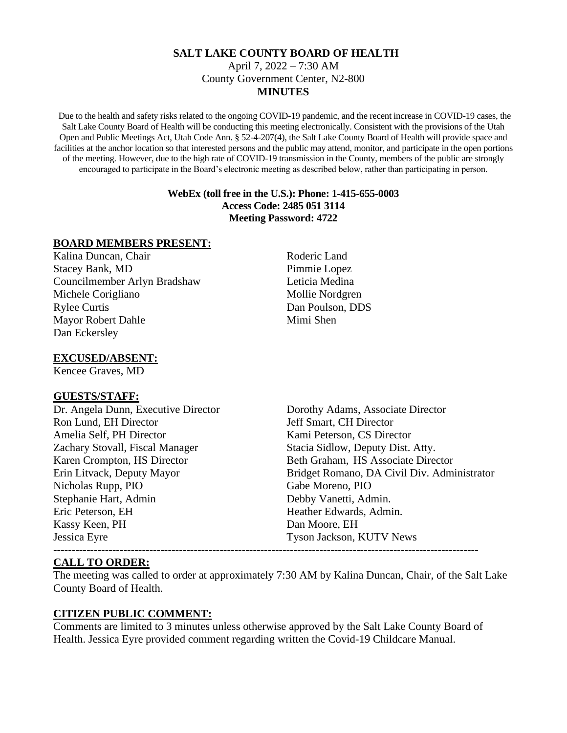### **SALT LAKE COUNTY BOARD OF HEALTH** April 7, 2022 – 7:30 AM County Government Center, N2-800 **MINUTES**

Due to the health and safety risks related to the ongoing COVID-19 pandemic, and the recent increase in COVID-19 cases, the Salt Lake County Board of Health will be conducting this meeting electronically. Consistent with the provisions of the Utah Open and Public Meetings Act, Utah Code Ann. § 52-4-207(4), the Salt Lake County Board of Health will provide space and facilities at the anchor location so that interested persons and the public may attend, monitor, and participate in the open portions of the meeting. However, due to the high rate of COVID-19 transmission in the County, members of the public are strongly encouraged to participate in the Board's electronic meeting as described below, rather than participating in person.

#### **WebEx (toll free in the U.S.): Phone: 1-415-655-0003 Access Code: 2485 051 3114 Meeting Password: 4722**

#### **BOARD MEMBERS PRESENT:**

Kalina Duncan, Chair Roderic Land Stacey Bank, MD Pimmie Lopez Councilmember Arlyn Bradshaw Leticia Medina Michele Corigliano Mollie Nordgren Rylee Curtis Dan Poulson, DDS Mayor Robert Dahle Mimi Shen Dan Eckersley

## **EXCUSED/ABSENT:**

Kencee Graves, MD

#### **GUESTS/STAFF:**

Ron Lund, EH Director **Figure 3** Jeff Smart, CH Director Amelia Self. PH Director **Kami Peterson, CS Director** Zachary Stovall, Fiscal Manager Stacia Sidlow, Deputy Dist. Atty. Nicholas Rupp, PIO Gabe Moreno, PIO Stephanie Hart, Admin Debby Vanetti, Admin. Eric Peterson, EH Heather Edwards, Admin. Kassy Keen, PH Dan Moore, EH Jessica Eyre Tyson Jackson, KUTV News

Dr. Angela Dunn, Executive Director Dorothy Adams, Associate Director Karen Crompton, HS Director Beth Graham, HS Associate Director Erin Litvack, Deputy Mayor Bridget Romano, DA Civil Div. Administrator

## **CALL TO ORDER:**

The meeting was called to order at approximately 7:30 AM by Kalina Duncan, Chair, of the Salt Lake County Board of Health.

## **CITIZEN PUBLIC COMMENT:**

Comments are limited to 3 minutes unless otherwise approved by the Salt Lake County Board of Health. Jessica Eyre provided comment regarding written the Covid-19 Childcare Manual.

-------------------------------------------------------------------------------------------------------------------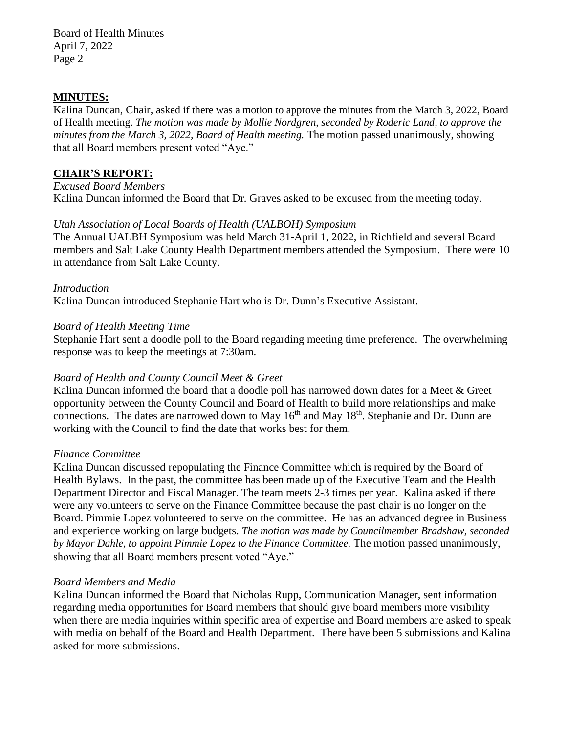#### **MINUTES:**

Kalina Duncan, Chair, asked if there was a motion to approve the minutes from the March 3, 2022, Board of Health meeting. *The motion was made by Mollie Nordgren, seconded by Roderic Land, to approve the minutes from the March 3, 2022, Board of Health meeting.* The motion passed unanimously, showing that all Board members present voted "Aye."

### **CHAIR'S REPORT:**

*Excused Board Members*

Kalina Duncan informed the Board that Dr. Graves asked to be excused from the meeting today.

#### *Utah Association of Local Boards of Health (UALBOH) Symposium*

The Annual UALBH Symposium was held March 31-April 1, 2022, in Richfield and several Board members and Salt Lake County Health Department members attended the Symposium. There were 10 in attendance from Salt Lake County.

### *Introduction*

Kalina Duncan introduced Stephanie Hart who is Dr. Dunn's Executive Assistant.

### *Board of Health Meeting Time*

Stephanie Hart sent a doodle poll to the Board regarding meeting time preference. The overwhelming response was to keep the meetings at 7:30am.

## *Board of Health and County Council Meet & Greet*

Kalina Duncan informed the board that a doodle poll has narrowed down dates for a Meet & Greet opportunity between the County Council and Board of Health to build more relationships and make connections. The dates are narrowed down to May 16<sup>th</sup> and May 18<sup>th</sup>. Stephanie and Dr. Dunn are working with the Council to find the date that works best for them.

#### *Finance Committee*

Kalina Duncan discussed repopulating the Finance Committee which is required by the Board of Health Bylaws. In the past, the committee has been made up of the Executive Team and the Health Department Director and Fiscal Manager. The team meets 2-3 times per year. Kalina asked if there were any volunteers to serve on the Finance Committee because the past chair is no longer on the Board. Pimmie Lopez volunteered to serve on the committee. He has an advanced degree in Business and experience working on large budgets. *The motion was made by Councilmember Bradshaw, seconded by Mayor Dahle, to appoint Pimmie Lopez to the Finance Committee.* The motion passed unanimously, showing that all Board members present voted "Aye."

#### *Board Members and Media*

Kalina Duncan informed the Board that Nicholas Rupp, Communication Manager, sent information regarding media opportunities for Board members that should give board members more visibility when there are media inquiries within specific area of expertise and Board members are asked to speak with media on behalf of the Board and Health Department. There have been 5 submissions and Kalina asked for more submissions.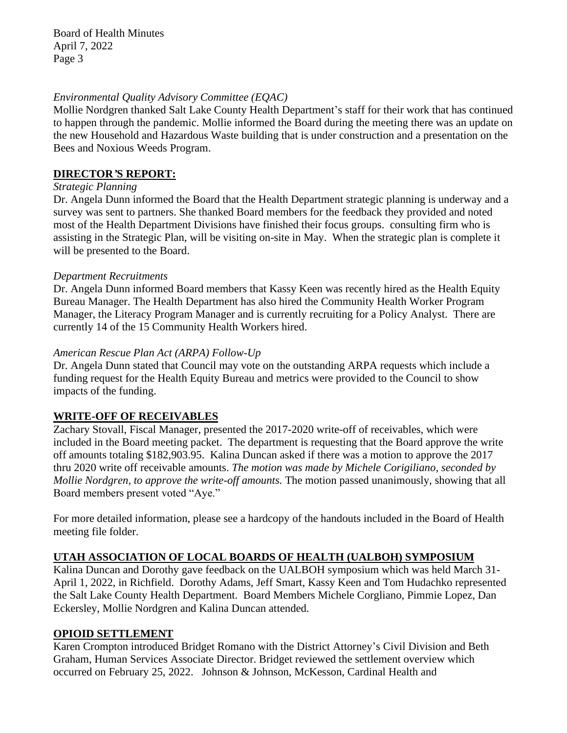### *Environmental Quality Advisory Committee (EQAC)*

Mollie Nordgren thanked Salt Lake County Health Department's staff for their work that has continued to happen through the pandemic. Mollie informed the Board during the meeting there was an update on the new Household and Hazardous Waste building that is under construction and a presentation on the Bees and Noxious Weeds Program.

### **DIRECTOR***'***S REPORT:**

#### *Strategic Planning*

Dr. Angela Dunn informed the Board that the Health Department strategic planning is underway and a survey was sent to partners. She thanked Board members for the feedback they provided and noted most of the Health Department Divisions have finished their focus groups. consulting firm who is assisting in the Strategic Plan, will be visiting on-site in May. When the strategic plan is complete it will be presented to the Board.

#### *Department Recruitments*

Dr. Angela Dunn informed Board members that Kassy Keen was recently hired as the Health Equity Bureau Manager. The Health Department has also hired the Community Health Worker Program Manager, the Literacy Program Manager and is currently recruiting for a Policy Analyst. There are currently 14 of the 15 Community Health Workers hired.

### *American Rescue Plan Act (ARPA) Follow-Up*

Dr. Angela Dunn stated that Council may vote on the outstanding ARPA requests which include a funding request for the Health Equity Bureau and metrics were provided to the Council to show impacts of the funding.

## **WRITE-OFF OF RECEIVABLES**

Zachary Stovall, Fiscal Manager, presented the 2017-2020 write-off of receivables, which were included in the Board meeting packet. The department is requesting that the Board approve the write off amounts totaling \$182,903.95. Kalina Duncan asked if there was a motion to approve the 2017 thru 2020 write off receivable amounts. *The motion was made by Michele Corigiliano, seconded by Mollie Nordgren, to approve the write-off amounts.* The motion passed unanimously, showing that all Board members present voted "Aye."

For more detailed information, please see a hardcopy of the handouts included in the Board of Health meeting file folder.

## **UTAH ASSOCIATION OF LOCAL BOARDS OF HEALTH (UALBOH) SYMPOSIUM**

Kalina Duncan and Dorothy gave feedback on the UALBOH symposium which was held March 31- April 1, 2022, in Richfield. Dorothy Adams, Jeff Smart, Kassy Keen and Tom Hudachko represented the Salt Lake County Health Department. Board Members Michele Corgliano, Pimmie Lopez, Dan Eckersley, Mollie Nordgren and Kalina Duncan attended.

## **OPIOID SETTLEMENT**

Karen Crompton introduced Bridget Romano with the District Attorney's Civil Division and Beth Graham, Human Services Associate Director. Bridget reviewed the settlement overview which occurred on February 25, 2022. Johnson & Johnson, McKesson, Cardinal Health and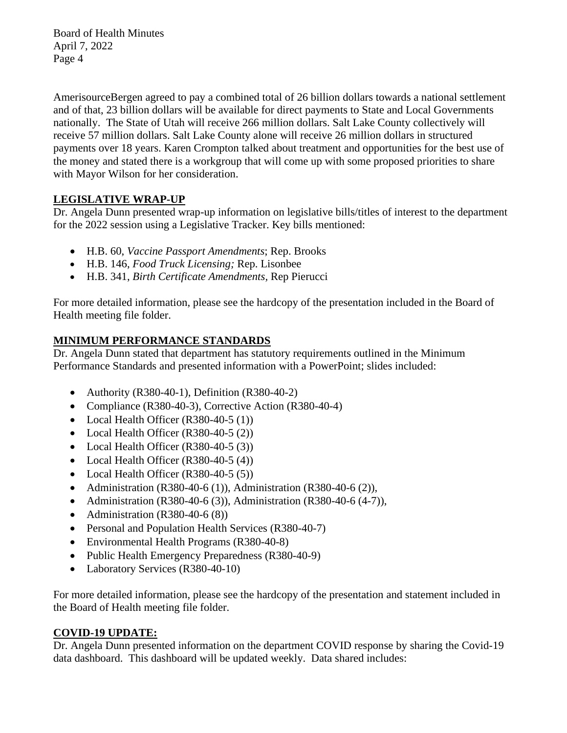AmerisourceBergen agreed to pay a combined total of 26 billion dollars towards a national settlement and of that, 23 billion dollars will be available for direct payments to State and Local Governments nationally. The State of Utah will receive 266 million dollars. Salt Lake County collectively will receive 57 million dollars. Salt Lake County alone will receive 26 million dollars in structured payments over 18 years. Karen Crompton talked about treatment and opportunities for the best use of the money and stated there is a workgroup that will come up with some proposed priorities to share with Mayor Wilson for her consideration.

# **LEGISLATIVE WRAP-UP**

Dr. Angela Dunn presented wrap-up information on legislative bills/titles of interest to the department for the 2022 session using a Legislative Tracker. Key bills mentioned:

- H.B. 60, *Vaccine Passport Amendments*; Rep. Brooks
- H.B. 146, *Food Truck Licensing;* Rep. Lisonbee
- H.B. 341, *Birth Certificate Amendments,* Rep Pierucci

For more detailed information, please see the hardcopy of the presentation included in the Board of Health meeting file folder.

# **MINIMUM PERFORMANCE STANDARDS**

Dr. Angela Dunn stated that department has statutory requirements outlined in the Minimum Performance Standards and presented information with a PowerPoint; slides included:

- Authority (R380-40-1), Definition (R380-40-2)
- Compliance (R380-40-3), Corrective Action (R380-40-4)
- Local Health Officer (R380-40-5 (1))
- Local Health Officer (R380-40-5 (2))
- Local Health Officer (R380-40-5 (3))
- Local Health Officer (R380-40-5 (4))
- Local Health Officer (R380-40-5 (5))
- Administration (R380-40-6 (1)), Administration (R380-40-6 (2)),
- Administration (R380-40-6 (3)), Administration (R380-40-6 (4-7)),
- Administration  $(R380-40-6(8))$
- Personal and Population Health Services (R380-40-7)
- Environmental Health Programs (R380-40-8)
- Public Health Emergency Preparedness (R380-40-9)
- Laboratory Services (R380-40-10)

For more detailed information, please see the hardcopy of the presentation and statement included in the Board of Health meeting file folder.

# **COVID-19 UPDATE:**

Dr. Angela Dunn presented information on the department COVID response by sharing the Covid-19 data dashboard. This dashboard will be updated weekly. Data shared includes: